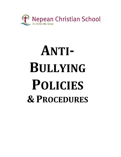

# **ANTI-BULLYING POLICIES & PROCEDURES**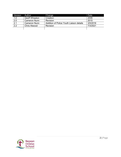| Version          | Author               | Change                                   | Date     |
|------------------|----------------------|------------------------------------------|----------|
| 1.0              | <b>Geoff Wheaton</b> | Creation                                 | 2006     |
| 2.0              | <b>Cameron Nunn</b>  | Revision                                 | 2015     |
| 2.1              | <b>Cameron Nunn</b>  | Addition of Police Youth Liaison details | 3/5/2016 |
| $\overline{2.2}$ | Chris Atwood         | Revision                                 | 7/3/2021 |
|                  |                      |                                          |          |
|                  |                      |                                          |          |

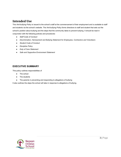# **Intended Use**

This *Anti-bullying Policy* is issued to the school's staff at the commencement of their employment and is available to staff and students via the school's website. The *Anti-bullying Policy* forms directions to staff and student that sets out the school's position about bullying and the steps that the community takes to prevent bullying. It should be read in conjunction with the following policies and procedures:

- *Staff Code of Conduct*
- *Discrimination, Harrassment and Bullying Statement for Employees, Contractors and Volunteers*
- *Student Code of Conduct*
- *Discipline Policy*
- *Duty of Care Statement*
- **Safe and Supportive Environment Statement**

# **EXECUTIVE SUMMARY**

This policy outlines responsibilities of

- The school
- The students
- The parents in preventing and responding to allegations of bullying

It also outlines the steps the school will take in response to allegations of bullying.

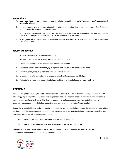## *We believe:*

- 1. God created each person in his own image and infinitely valuable in his sight. The cross is God's declaration of his love for all people.
- 2. Human beings, broke relationship with God and with each other when they turned their backs on God. Bullying is evidence of the brokenness and sin of humanity
- 3. In Christ, God reconciles all things to himself. The death and resurrection not only made a means by which people can be reconciled to God, but in Christ, people are reconciled to each other.
- 4. Bullying contradicts the message of scripture that we have a responsibility to look after the most vulnerable in our community (James 1:27)

# *Therefore we will:*

- 1. Not tolerate bullying and harassment at N.C.S.
- 2. Provide a safe and secure learning environment for our students
- 3. Maintain the principles of the National Safe Schools Framework
- 4. Provide an environment where bullying is reported and with which it is appropriately dealt
- 5. Provide support, encouragement and justice for victims of bullying
- 6. Encourage repentance, restitution and reconciliation from the perpetrators of bullying
- 7. Train staff and students in recognising bullying and implementing strategies to prevent bullying.

#### **PREAMBLE**

School bullying has been recognised as a serious problem in schools in Australia. In addition, bullying is becoming an increasingly important public policy issue, following concern about the negative effects of bullying on pupils' academic attainment and emotional well-being. The duty of a school extends to reasonably protecting a student from the reasonably foreseeable conduct of other students or strangers and from the student's own conduct.

Schools have been held liable for injuries sustained to students as a result of bullying, where the school was aware of the bullying and failed to take reasonable or adequate steps to prevent or eliminate the bullying. As the problem of bullying is now well recognised, all schools are expected to:

- a) have policies and procedures in place to deal with bullying; and
- b) take all reasonable steps to ensure that these policies are put into practice

Furthermore, a school may be found to have breached its duty of care if these policies and practices are not implemented, understood and carried out by students and staff.

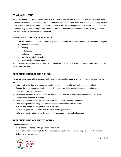#### **WHAT IS BULLYING**

Bullying is repeated, unreasonable behaviour directed toward a staff member, student, or group that may cause harm, including risks to health and safety. Unreasonable behaviour means behaviour that a reasonable person having regard to all the circumstances would expect to humiliate, intimidate or threaten another person. Such behaviour can include an individual's or group's actions or practices which humiliate, intimidate or threaten another person. Bullying may also amount to unlawful discrimination or harassment.

#### **WHAT ARE EXAMPLES OF BULLYING?**

The following types of behaviour, particularly if directed towards an individual repeatedly, may amount to bullying:

- demeaning language;
- threats;
- verbal abuse;
- outbursts of aggression;
- physical or verbal intimidation;
- excluding, isolating and ganging up.

Normal school discipline or a representative of the school making reasonable behavioural demands for compliance, do not constitute bullying.

#### **RESPONSIBILITIES OF THE SCHOOL**

The school has a responsibility to prevent bullying and to appropriately respond to all allegations of bullying. Therefore we will:

- Actively affirm the right of all school community members to feel and be safe and supported at school
- Engage the whole school community in anti-bullying strategies that promote kindness, compassion, respect, generosity of spirit and cooperation
- Ensure that members of the community are aware of their roles and responsibilities as outlined in the *Safe and Supportive Environment Statement*
- Train staff in how to develop, promote and maintain a safe and supportive school environment
- Treat all allegations of bullying seriously and respond in accordance with this policy
- Act with both justice and compassion toward the victim
- Seek to bring about resolution for both the victim and the perpetrator
- Take whatever disciplinary action the school deems necessary to bring about resolution.

## **RESPONSIBILITIES OF THE STUDENTS**

Students are expected to:

- Care for one another as befitting a Christian community.
- Report all incidents of bullying to the Head of School or Deputy Principal, even if they are not directly involved. Bullying is everyone's concern.